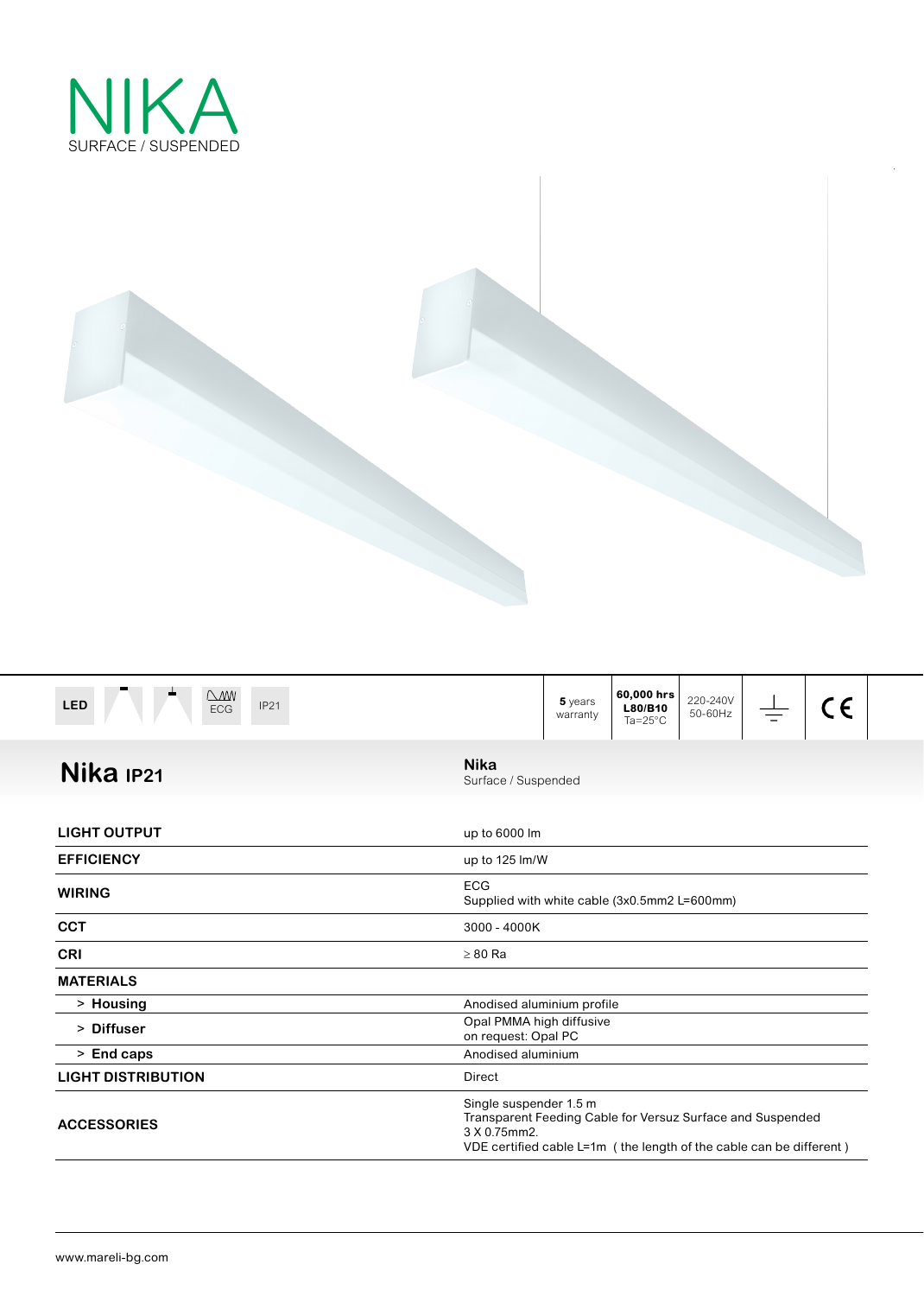



| $\triangle M$<br><b>LED</b><br><b>IP21</b><br><b>ECG</b> | 60,000 hrs<br>220-240V<br>5 years<br>CE<br>L80/B10<br>50-60Hz<br>warranty<br>$Ta = 25^{\circ}C$                                                                               |
|----------------------------------------------------------|-------------------------------------------------------------------------------------------------------------------------------------------------------------------------------|
| Nika <sub>IP21</sub>                                     | <b>Nika</b><br>Surface / Suspended                                                                                                                                            |
| <b>LIGHT OUTPUT</b>                                      | up to 6000 lm                                                                                                                                                                 |
| <b>EFFICIENCY</b>                                        | up to 125 lm/W                                                                                                                                                                |
| <b>WIRING</b>                                            | <b>ECG</b><br>Supplied with white cable (3x0.5mm2 L=600mm)                                                                                                                    |
| <b>CCT</b>                                               | 3000 - 4000K                                                                                                                                                                  |
| <b>CRI</b>                                               | $\geq 80$ Ra                                                                                                                                                                  |
| <b>MATERIALS</b>                                         |                                                                                                                                                                               |
| > Housing                                                | Anodised aluminium profile                                                                                                                                                    |
| > Diffuser                                               | Opal PMMA high diffusive<br>on request: Opal PC                                                                                                                               |
| > End caps                                               | Anodised aluminium                                                                                                                                                            |
| <b>LIGHT DISTRIBUTION</b>                                | <b>Direct</b>                                                                                                                                                                 |
| <b>ACCESSORIES</b>                                       | Single suspender 1.5 m<br>Transparent Feeding Cable for Versuz Surface and Suspended<br>3 X 0.75mm2.<br>VDE certified cable $L=1m$ (the length of the cable can be different) |